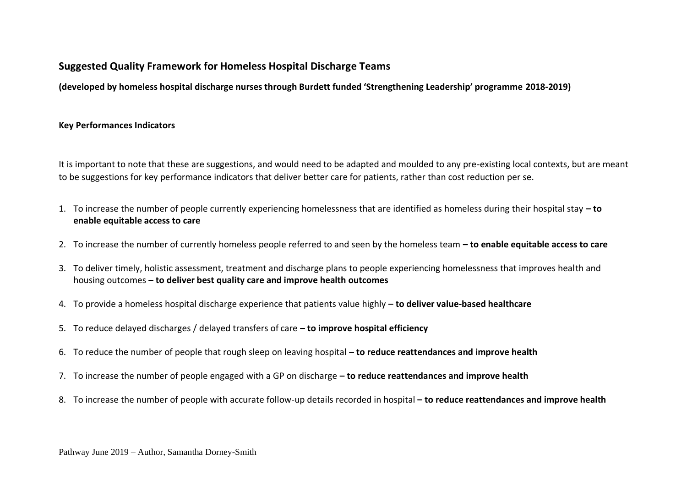# **Suggested Quality Framework for Homeless Hospital Discharge Teams**

**(developed by homeless hospital discharge nurses through Burdett funded 'Strengthening Leadership' programme 2018-2019)**

# **Key Performances Indicators**

It is important to note that these are suggestions, and would need to be adapted and moulded to any pre-existing local contexts, but are meant to be suggestions for key performance indicators that deliver better care for patients, rather than cost reduction per se.

- 1. To increase the number of people currently experiencing homelessness that are identified as homeless during their hospital stay **– to enable equitable access to care**
- 2. To increase the number of currently homeless people referred to and seen by the homeless team **– to enable equitable access to care**
- 3. To deliver timely, holistic assessment, treatment and discharge plans to people experiencing homelessness that improves health and housing outcomes **– to deliver best quality care and improve health outcomes**
- 4. To provide a homeless hospital discharge experience that patients value highly **– to deliver value-based healthcare**
- 5. To reduce delayed discharges / delayed transfers of care **– to improve hospital efficiency**
- 6. To reduce the number of people that rough sleep on leaving hospital **– to reduce reattendances and improve health**
- 7. To increase the number of people engaged with a GP on discharge **– to reduce reattendances and improve health**
- 8. To increase the number of people with accurate follow-up details recorded in hospital **– to reduce reattendances and improve health**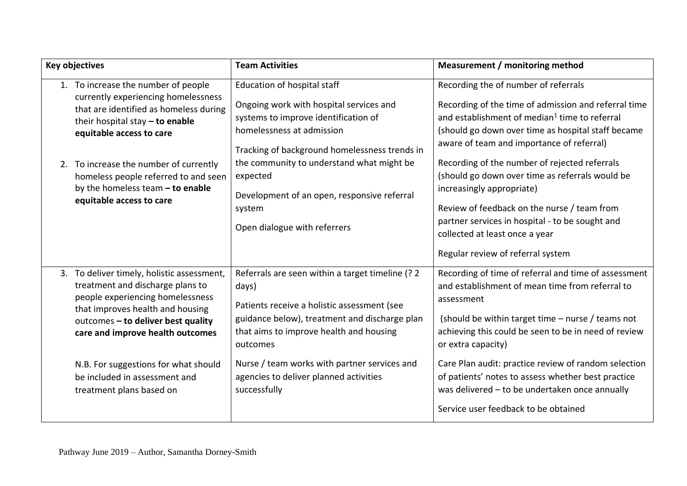| <b>Key objectives</b> |                                                                                                                                                                                                                                                                                                                                           | <b>Team Activities</b>                                                                                                                                                                                                                                                                                                                         | Measurement / monitoring method                                                                                                                                                                                                                                                                                                                                                                                                                                                                                                   |
|-----------------------|-------------------------------------------------------------------------------------------------------------------------------------------------------------------------------------------------------------------------------------------------------------------------------------------------------------------------------------------|------------------------------------------------------------------------------------------------------------------------------------------------------------------------------------------------------------------------------------------------------------------------------------------------------------------------------------------------|-----------------------------------------------------------------------------------------------------------------------------------------------------------------------------------------------------------------------------------------------------------------------------------------------------------------------------------------------------------------------------------------------------------------------------------------------------------------------------------------------------------------------------------|
|                       | 1. To increase the number of people<br>currently experiencing homelessness<br>that are identified as homeless during<br>their hospital stay $-$ to enable<br>equitable access to care<br>2. To increase the number of currently<br>homeless people referred to and seen<br>by the homeless team $-$ to enable<br>equitable access to care | Education of hospital staff<br>Ongoing work with hospital services and<br>systems to improve identification of<br>homelessness at admission<br>Tracking of background homelessness trends in<br>the community to understand what might be<br>expected<br>Development of an open, responsive referral<br>system<br>Open dialogue with referrers | Recording the of number of referrals<br>Recording of the time of admission and referral time<br>and establishment of median <sup>1</sup> time to referral<br>(should go down over time as hospital staff became<br>aware of team and importance of referral)<br>Recording of the number of rejected referrals<br>(should go down over time as referrals would be<br>increasingly appropriate)<br>Review of feedback on the nurse / team from<br>partner services in hospital - to be sought and<br>collected at least once a year |
|                       |                                                                                                                                                                                                                                                                                                                                           |                                                                                                                                                                                                                                                                                                                                                | Regular review of referral system                                                                                                                                                                                                                                                                                                                                                                                                                                                                                                 |
|                       | 3. To deliver timely, holistic assessment,<br>treatment and discharge plans to<br>people experiencing homelessness<br>that improves health and housing<br>outcomes - to deliver best quality<br>care and improve health outcomes                                                                                                          | Referrals are seen within a target timeline (? 2<br>days)<br>Patients receive a holistic assessment (see<br>guidance below), treatment and discharge plan<br>that aims to improve health and housing<br>outcomes                                                                                                                               | Recording of time of referral and time of assessment<br>and establishment of mean time from referral to<br>assessment<br>(should be within target time $-$ nurse / teams not<br>achieving this could be seen to be in need of review<br>or extra capacity)                                                                                                                                                                                                                                                                        |
|                       | N.B. For suggestions for what should<br>be included in assessment and<br>treatment plans based on                                                                                                                                                                                                                                         | Nurse / team works with partner services and<br>agencies to deliver planned activities<br>successfully                                                                                                                                                                                                                                         | Care Plan audit: practice review of random selection<br>of patients' notes to assess whether best practice<br>was delivered - to be undertaken once annually<br>Service user feedback to be obtained                                                                                                                                                                                                                                                                                                                              |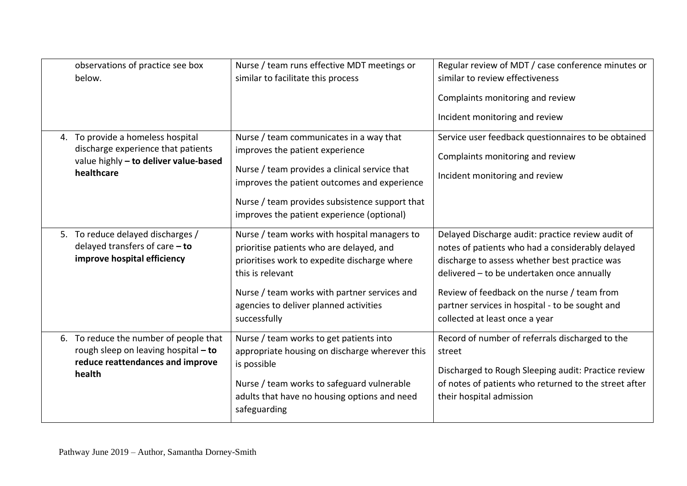| observations of practice see box<br>below.                                                                                     | Nurse / team runs effective MDT meetings or<br>similar to facilitate this process                                                                                                                                                                                           | Regular review of MDT / case conference minutes or<br>similar to review effectiveness<br>Complaints monitoring and review<br>Incident monitoring and review                                                                                                                                                                              |
|--------------------------------------------------------------------------------------------------------------------------------|-----------------------------------------------------------------------------------------------------------------------------------------------------------------------------------------------------------------------------------------------------------------------------|------------------------------------------------------------------------------------------------------------------------------------------------------------------------------------------------------------------------------------------------------------------------------------------------------------------------------------------|
| 4. To provide a homeless hospital<br>discharge experience that patients<br>value highly - to deliver value-based<br>healthcare | Nurse / team communicates in a way that<br>improves the patient experience<br>Nurse / team provides a clinical service that<br>improves the patient outcomes and experience<br>Nurse / team provides subsistence support that<br>improves the patient experience (optional) | Service user feedback questionnaires to be obtained<br>Complaints monitoring and review<br>Incident monitoring and review                                                                                                                                                                                                                |
| 5. To reduce delayed discharges /<br>delayed transfers of care $-$ to<br>improve hospital efficiency                           | Nurse / team works with hospital managers to<br>prioritise patients who are delayed, and<br>prioritises work to expedite discharge where<br>this is relevant<br>Nurse / team works with partner services and<br>agencies to deliver planned activities<br>successfully      | Delayed Discharge audit: practice review audit of<br>notes of patients who had a considerably delayed<br>discharge to assess whether best practice was<br>delivered - to be undertaken once annually<br>Review of feedback on the nurse / team from<br>partner services in hospital - to be sought and<br>collected at least once a year |
| 6. To reduce the number of people that<br>rough sleep on leaving hospital - to<br>reduce reattendances and improve<br>health   | Nurse / team works to get patients into<br>appropriate housing on discharge wherever this<br>is possible<br>Nurse / team works to safeguard vulnerable<br>adults that have no housing options and need<br>safeguarding                                                      | Record of number of referrals discharged to the<br>street<br>Discharged to Rough Sleeping audit: Practice review<br>of notes of patients who returned to the street after<br>their hospital admission                                                                                                                                    |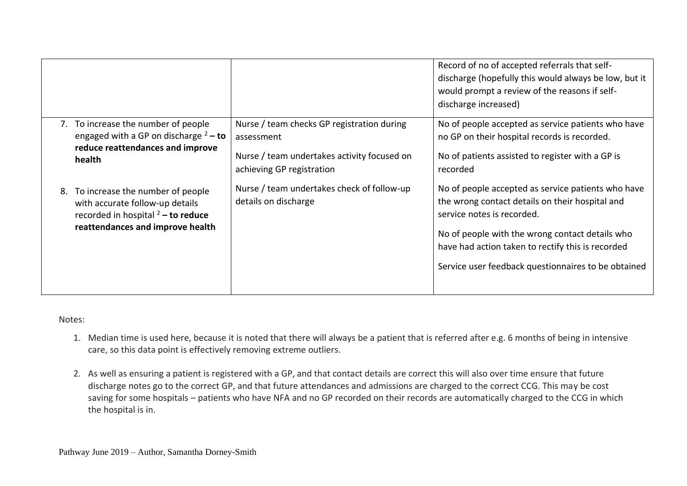|    |                                                                                                                                                 |                                                                                                                                      | Record of no of accepted referrals that self-<br>discharge (hopefully this would always be low, but it<br>would prompt a review of the reasons if self-<br>discharge increased)                                                                                                                    |
|----|-------------------------------------------------------------------------------------------------------------------------------------------------|--------------------------------------------------------------------------------------------------------------------------------------|----------------------------------------------------------------------------------------------------------------------------------------------------------------------------------------------------------------------------------------------------------------------------------------------------|
|    | 7. To increase the number of people<br>engaged with a GP on discharge $2 -$ to<br>reduce reattendances and improve<br>health                    | Nurse / team checks GP registration during<br>assessment<br>Nurse / team undertakes activity focused on<br>achieving GP registration | No of people accepted as service patients who have<br>no GP on their hospital records is recorded.<br>No of patients assisted to register with a GP is<br>recorded                                                                                                                                 |
| 8. | To increase the number of people<br>with accurate follow-up details<br>recorded in hospital $2 -$ to reduce<br>reattendances and improve health | Nurse / team undertakes check of follow-up<br>details on discharge                                                                   | No of people accepted as service patients who have<br>the wrong contact details on their hospital and<br>service notes is recorded.<br>No of people with the wrong contact details who<br>have had action taken to rectify this is recorded<br>Service user feedback questionnaires to be obtained |

Notes:

- 1. Median time is used here, because it is noted that there will always be a patient that is referred after e.g. 6 months of being in intensive care, so this data point is effectively removing extreme outliers.
- 2. As well as ensuring a patient is registered with a GP, and that contact details are correct this will also over time ensure that future discharge notes go to the correct GP, and that future attendances and admissions are charged to the correct CCG. This may be cost saving for some hospitals – patients who have NFA and no GP recorded on their records are automatically charged to the CCG in which the hospital is in.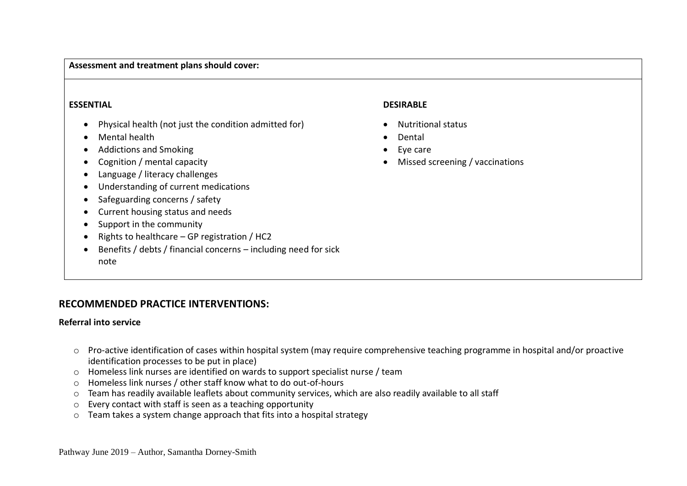### **Assessment and treatment plans should cover:**

#### **ESSENTIAL**

- Physical health (not just the condition admitted for)
- Mental health
- Addictions and Smoking
- Cognition / mental capacity
- Language / literacy challenges
- Understanding of current medications
- Safeguarding concerns / safety
- Current housing status and needs
- Support in the community
- Rights to healthcare GP registration / HC2
- Benefits / debts / financial concerns including need for sick note

#### **DESIRABLE**

- Nutritional status
- Dental
- Eye care
- Missed screening / vaccinations

# **RECOMMENDED PRACTICE INTERVENTIONS:**

#### **Referral into service**

- o Pro-active identification of cases within hospital system (may require comprehensive teaching programme in hospital and/or proactive identification processes to be put in place)
- o Homeless link nurses are identified on wards to support specialist nurse / team
- o Homeless link nurses / other staff know what to do out-of-hours
- o Team has readily available leaflets about community services, which are also readily available to all staff
- o Every contact with staff is seen as a teaching opportunity
- o Team takes a system change approach that fits into a hospital strategy